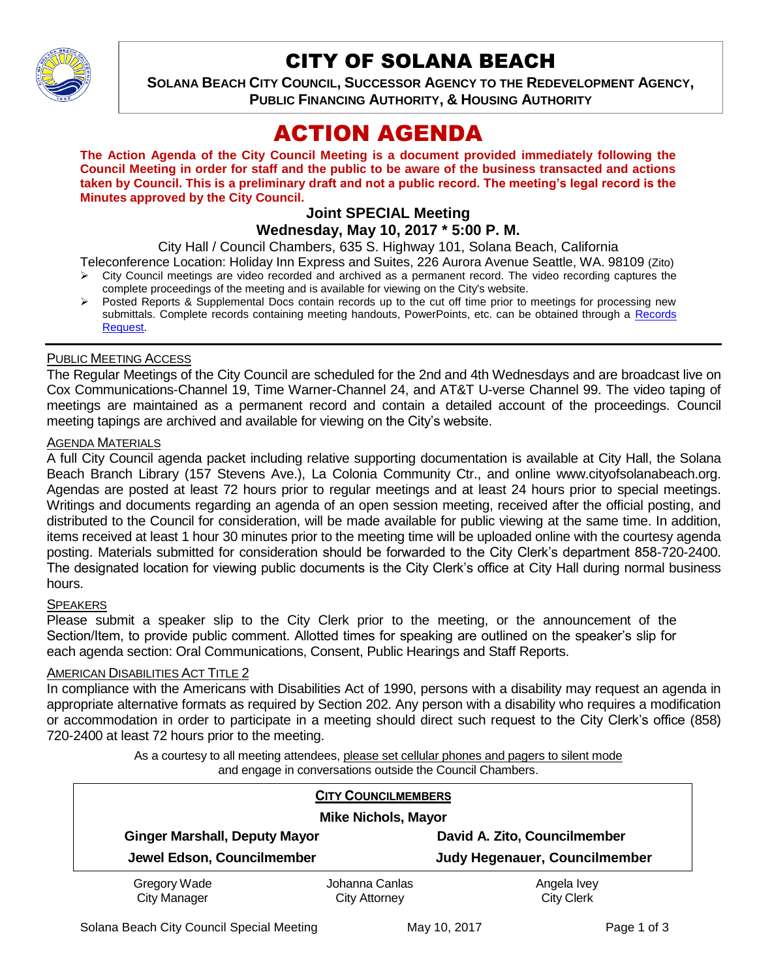

# CITY OF SOLANA BEACH

**SOLANA BEACH CITY COUNCIL, SUCCESSOR AGENCY TO THE REDEVELOPMENT AGENCY, PUBLIC FINANCING AUTHORITY, & HOUSING AUTHORITY** 

# ACTION AGENDA

**The Action Agenda of the City Council Meeting is a document provided immediately following the Council Meeting in order for staff and the public to be aware of the business transacted and actions taken by Council. This is a preliminary draft and not a public record. The meeting's legal record is the Minutes approved by the City Council.**

#### **Joint SPECIAL Meeting Wednesday, May 10, 2017 \* 5:00 P. M.**

City Hall / Council Chambers, 635 S. Highway 101, Solana Beach, California

Teleconference Location: Holiday Inn Express and Suites, 226 Aurora Avenue Seattle, WA. 98109 (Zito)  $\triangleright$  City Council meetings are video recorded and archived as a permanent record. The video recording captures the

- complete proceedings of the meeting and is available for viewing on the City's website.
- Posted Reports & Supplemental Docs contain records up to the cut off time prior to meetings for processing new submittals. Complete records containing meeting handouts, PowerPoints, etc. can be obtained through a Records [Request.](http://www.ci.solana-beach.ca.us/index.asp?SEC=F5D45D10-70CE-4291-A27C-7BD633FC6742&Type=B_BASIC)

## PUBLIC MEETING ACCESS

The Regular Meetings of the City Council are scheduled for the 2nd and 4th Wednesdays and are broadcast live on Cox Communications-Channel 19, Time Warner-Channel 24, and AT&T U-verse Channel 99. The video taping of meetings are maintained as a permanent record and contain a detailed account of the proceedings. Council meeting tapings are archived and available for viewing on the City's website.

#### **AGENDA MATERIALS**

A full City Council agenda packet including relative supporting documentation is available at City Hall, the Solana Beach Branch Library (157 Stevens Ave.), La Colonia Community Ctr., and online www.cityofsolanabeach.org. Agendas are posted at least 72 hours prior to regular meetings and at least 24 hours prior to special meetings. Writings and documents regarding an agenda of an open session meeting, received after the official posting, and distributed to the Council for consideration, will be made available for public viewing at the same time. In addition, items received at least 1 hour 30 minutes prior to the meeting time will be uploaded online with the courtesy agenda posting. Materials submitted for consideration should be forwarded to the City Clerk's department 858-720-2400. The designated location for viewing public documents is the City Clerk's office at City Hall during normal business hours.

## **SPEAKERS**

Please submit a speaker slip to the City Clerk prior to the meeting, or the announcement of the Section/Item, to provide public comment. Allotted times for speaking are outlined on the speaker's slip for each agenda section: Oral Communications, Consent, Public Hearings and Staff Reports.

## **AMERICAN DISABILITIES ACT TITLE 2**

In compliance with the Americans with Disabilities Act of 1990, persons with a disability may request an agenda in appropriate alternative formats as required by Section 202. Any person with a disability who requires a modification or accommodation in order to participate in a meeting should direct such request to the City Clerk's office (858) 720-2400 at least 72 hours prior to the meeting.

> As a courtesy to all meeting attendees, please set cellular phones and pagers to silent mode and engage in conversations outside the Council Chambers.

|                                                                    | <b>CITY COUNCILMEMBERS</b> |                               |  |
|--------------------------------------------------------------------|----------------------------|-------------------------------|--|
| <b>Mike Nichols, Mayor</b>                                         |                            |                               |  |
| <b>Ginger Marshall, Deputy Mayor</b><br>Jewel Edson, Councilmember |                            | David A. Zito, Councilmember  |  |
|                                                                    |                            | Judy Hegenauer, Councilmember |  |
| Gregory Wade                                                       | Johanna Canlas             | Angela Ivey                   |  |
| <b>City Manager</b>                                                | <b>City Attorney</b>       | <b>City Clerk</b>             |  |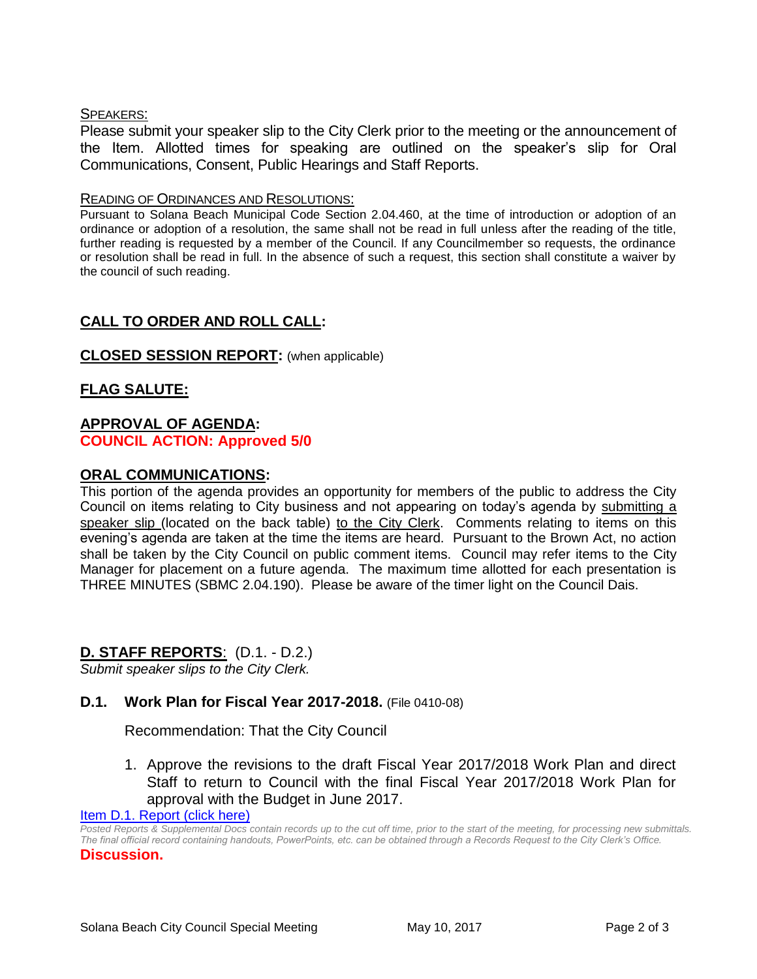### SPEAKERS:

Please submit your speaker slip to the City Clerk prior to the meeting or the announcement of the Item. Allotted times for speaking are outlined on the speaker's slip for Oral Communications, Consent, Public Hearings and Staff Reports.

#### READING OF ORDINANCES AND RESOLUTIONS:

Pursuant to Solana Beach Municipal Code Section 2.04.460, at the time of introduction or adoption of an ordinance or adoption of a resolution, the same shall not be read in full unless after the reading of the title, further reading is requested by a member of the Council. If any Councilmember so requests, the ordinance or resolution shall be read in full. In the absence of such a request, this section shall constitute a waiver by the council of such reading.

# **CALL TO ORDER AND ROLL CALL:**

## **CLOSED SESSION REPORT:** (when applicable)

# **FLAG SALUTE:**

#### **APPROVAL OF AGENDA: COUNCIL ACTION: Approved 5/0**

#### **ORAL COMMUNICATIONS:**

This portion of the agenda provides an opportunity for members of the public to address the City Council on items relating to City business and not appearing on today's agenda by submitting a speaker slip (located on the back table) to the City Clerk. Comments relating to items on this evening's agenda are taken at the time the items are heard. Pursuant to the Brown Act, no action shall be taken by the City Council on public comment items. Council may refer items to the City Manager for placement on a future agenda. The maximum time allotted for each presentation is THREE MINUTES (SBMC 2.04.190). Please be aware of the timer light on the Council Dais.

## **D. STAFF REPORTS**: (D.1. - D.2.)

*Submit speaker slips to the City Clerk.*

## **D.1. Work Plan for Fiscal Year 2017-2018.** (File 0410-08)

Recommendation: That the City Council

1. Approve the revisions to the draft Fiscal Year 2017/2018 Work Plan and direct Staff to return to Council with the final Fiscal Year 2017/2018 Work Plan for approval with the Budget in June 2017.

[Item D.1. Report \(click here\)](https://solanabeach.govoffice3.com/vertical/Sites/%7B840804C2-F869-4904-9AE3-720581350CE7%7D/uploads/Item_D.1._Report_(click_here)_5-10-2017.PDF) 

*Posted Reports & Supplemental Docs contain records up to the cut off time, prior to the start of the meeting, for processing new submittals. The final official record containing handouts, PowerPoints, etc. can be obtained through a Records Request to the City Clerk's Office.* **Discussion.**